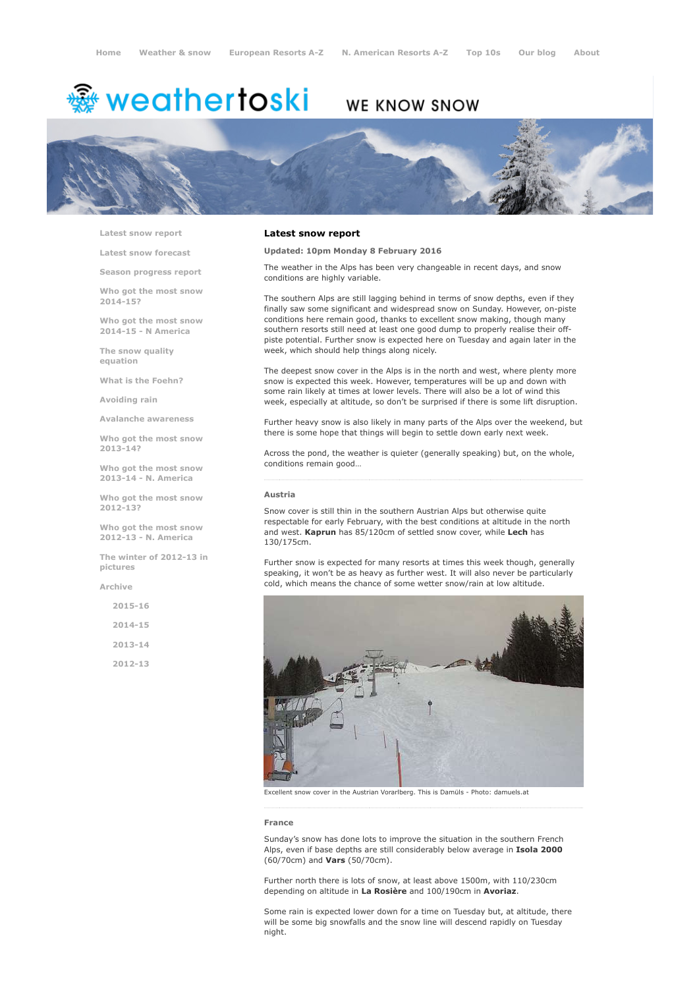# <sup>鑫</sup> weathertoski

## WE KNOW SNOW



Latest snow [report](http://www.weathertoski.co.uk/weather-snow/latest-snow-report/)

Latest snow [forecast](http://www.weathertoski.co.uk/weather-snow/latest-snow-forecast/)

Season [progress](http://www.weathertoski.co.uk/weather-snow/season-progress-report/) report

Who got the most snow 2014-15?

Who got the most snow 2014-15 - N America

The snow quality [equation](http://www.weathertoski.co.uk/weather-snow/the-snow-quality-equation/)

What is the [Foehn?](http://www.weathertoski.co.uk/weather-snow/what-is-the-foehn/)

[Avoiding](http://www.weathertoski.co.uk/weather-snow/avoiding-rain/) rain

Avalanche [awareness](http://www.weathertoski.co.uk/weather-snow/avalanche-awareness/)

Who got the most snow 2013-14?

Who got the most snow 2013-14 - N. America

Who got the most snow 2012-13?

Who got the most snow 2012-13 - N. America

The winter of 2012-13 in pictures

[Archive](http://www.weathertoski.co.uk/weather-snow/archive/)

2015-16 2014-15 2013-14

2012-13

## Latest snow report

## Updated: 10pm Monday 8 February 2016

The weather in the Alps has been very changeable in recent days, and snow conditions are highly variable.

The southern Alps are still lagging behind in terms of snow depths, even if they finally saw some significant and widespread snow on Sunday. However, on-piste conditions here remain good, thanks to excellent snow making, though many southern resorts still need at least one good dump to properly realise their offpiste potential. Further snow is expected here on Tuesday and again later in the week, which should help things along nicely.

The deepest snow cover in the Alps is in the north and west, where plenty more snow is expected this week. However, temperatures will be up and down with some rain likely at times at lower levels. There will also be a lot of wind this week, especially at altitude, so don't be surprised if there is some lift disruption.

Further heavy snow is also likely in many parts of the Alps over the weekend, but there is some hope that things will begin to settle down early next week.

Across the pond, the weather is quieter (generally speaking) but, on the whole, conditions remain good…

### Austria

Snow cover is still thin in the southern Austrian Alps but otherwise quite respectable for early February, with the best conditions at altitude in the north and west. Kaprun has 85/120cm of settled snow cover, while Lech has 130/175cm.

Further snow is expected for many resorts at times this week though, generally speaking, it won't be as heavy as further west. It will also never be particularly cold, which means the chance of some wetter snow/rain at low altitude.



Excellent snow cover in the Austrian Vorarlberg. This is Damüls - Photo: damuels.at

#### France

Sunday's snow has done lots to improve the situation in the southern French Alps, even if base depths are still considerably below average in Isola 2000 (60/70cm) and Vars (50/70cm).

Further north there is lots of snow, at least above 1500m, with 110/230cm depending on altitude in La Rosière and 100/190cm in Avoriaz.

Some rain is expected lower down for a time on Tuesday but, at altitude, there will be some big snowfalls and the snow line will descend rapidly on Tuesday night.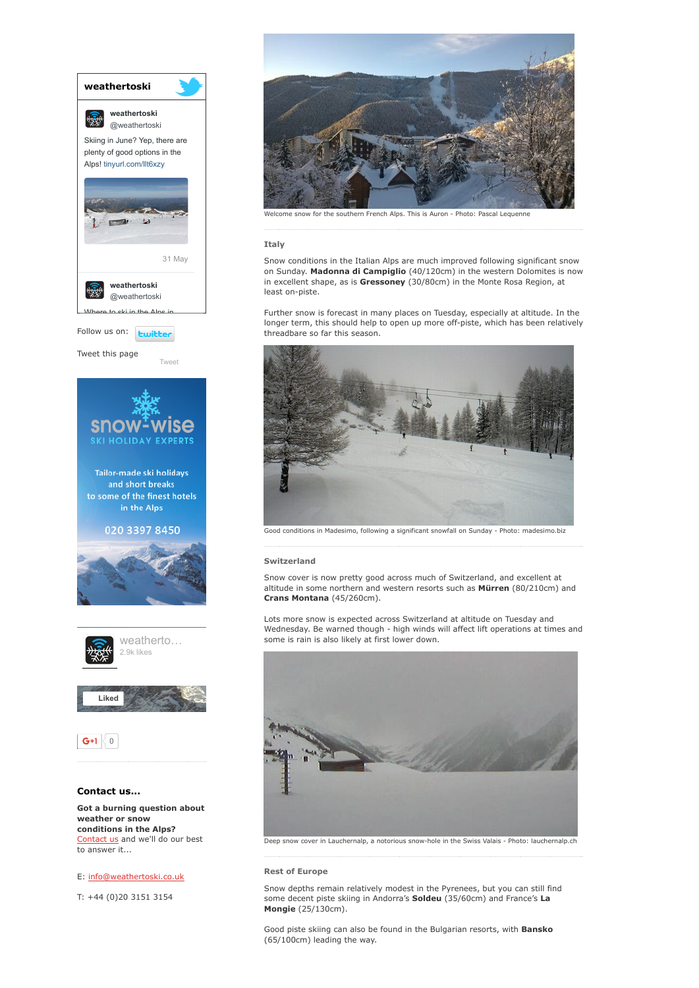

to answer it...

## E: [info@weathertoski.co.uk](mailto:fraser@weathertoski.co.uk)

T: +44 (0)20 3151 3154



Welcome snow for the southern French Alps. This is Auron - Photo: Pascal Lequenne

## Italy

Snow conditions in the Italian Alps are much improved following significant snow on Sunday. Madonna di Campiglio (40/120cm) in the western Dolomites is now in excellent shape, as is Gressoney (30/80cm) in the Monte Rosa Region, at least on-piste.

Further snow is forecast in many places on Tuesday, especially at altitude. In the longer term, this should help to open up more off-piste, which has been relatively threadbare so far this season.



Good conditions in Madesimo, following a significant snowfall on Sunday - Photo: madesimo.biz

## Switzerland

Snow cover is now pretty good across much of Switzerland, and excellent at altitude in some northern and western resorts such as Mürren (80/210cm) and Crans Montana (45/260cm).

Lots more snow is expected across Switzerland at altitude on Tuesday and Wednesday. Be warned though - high winds will affect lift operations at times and some is rain is also likely at first lower down.



Deep snow cover in Lauchernalp, a notorious snow-hole in the Swiss Valais - Photo: lauchernalp.ch

## Rest of Europe

Snow depths remain relatively modest in the Pyrenees, but you can still find some decent piste skiing in Andorra's Soldeu (35/60cm) and France's La Mongie (25/130cm).

Good piste skiing can also be found in the Bulgarian resorts, with **Bansko** (65/100cm) leading the way.